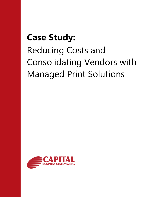## **Case Study:**

# Reducing Costs and Consolidating Vendors with Managed Print Solutions

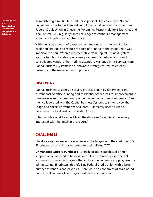**Reducing Costs and Consolidating Vendors with Managed Print Solutions** 

Administering a multi-site credit union presents big challenges. No one understands this better than Val Seui, Administrative Coordinator for Blue Federal Credit Union in Cheyenne, Wyoming. Responsible for 6 branches and a call center, Seui regularly faces challenges to centralize management, streamline logistics and control costs.

With the large amount of paper and printed output at the credit union, exploring strategies to reduce the cost of printing at the credit union was important to Seui. When a representative from Capital Business Systems approached him to talk about a new program that reduced costs and consolidated vendors, they had his attention. Managed Print Services from Capital Business Systems is an innovative strategy to reduce costs by outsourcing the management of printers.

#### **DISCOVERY**

Capital Business System's discovery process began by determining the current cost of office printing and to identify other areas for improvement. A baseline was set by measuring printer usage over a three week period. Seui then collaborated with the Capital Business Systems team to review the usage and collect relevant financial data – ultimately used to use to determine the total cost of ownership (TCO).

"I had no idea what to expect from the discovery," said Seui. "I was very impressed with the detail in the report."

#### **CHALLENGES**

The discovery process uncovered several challenges with the credit union's 43 printers, all of which contributed to their inflated TCO:

**Unmanaged Supply Purchases -** Branch locations purchased printer supplies on an as-needed basis. As a result, each branch paid different amounts for similar cartridges, often including emergency shipping fees. By administering 43 printers, this left Blue Federal Credit Union with a large number of vendors and payables. There were no economies of scale based on the total volume of cartridges used by the organization.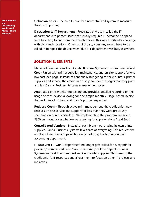**Reducing Costs and Consolidating Vendors with Managed Print Solutions** 

**Unknown Costs -** The credit union had no centralized system to measure the cost of printing.

**Distraction to IT Department - Frustrated end users called the IT** department with printer issues that usually required IT personnel to spend time travelling to and from the branch offices. This was a particular challenge with six branch locations. Often, a third party company would have to be called in to repair the device when Blue's IT department was busy elsewhere.

#### **SOLUTION & BENEFITS**

Managed Print Services from Capital Business Systems provides Blue Federal Credit Union with printer supplies, maintenance, and on-site support for one low cost-per-page. Instead of continually budgeting for new printers, printer supplies and service, the credit union only pays for the pages that they print and lets Capital Business Systems manage the process.

Automated print monitoring technology provides detailed reporting on the usage of each device, allowing for one simple monthly usage-based invoice that includes all of the credit union's printing expenses.

**Reduced Costs -** Through active print management, the credit union now receives on-site service and support for less than they were previously spending on printer cartridges. "By implementing the program, we saved \$300 per month over what we were paying for supplies alone," said Seui.

**Consolidated Vendors -** Instead of each branch purchasing its own printer supplies, Capital Business Systems takes care of everything. This reduces the number of vendors and payables, vastly reducing the burden on their accounting department.

**IT Resources** - "Our IT department no longer gets called for every printer problem," commented Seui. Now, users simply call the Capital Business Systems support line to request service or order supplies. This frees up the credit union's IT resources and allows them to focus on other IT projects and initiatives.